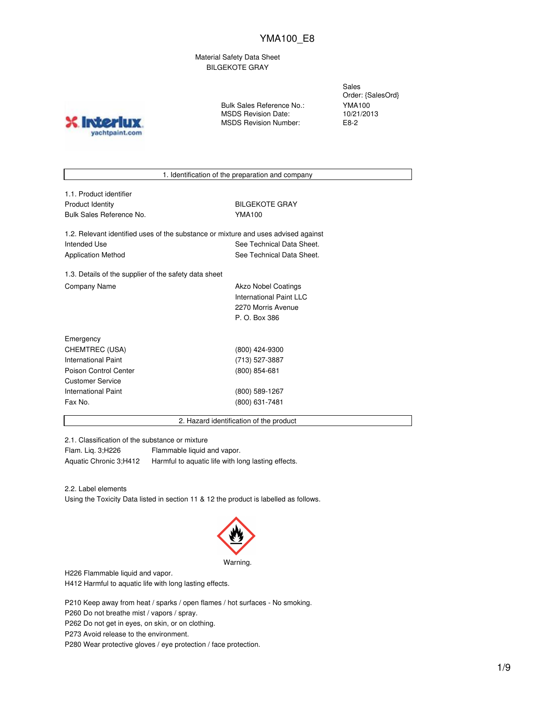Material Safety Data Sheet BILGEKOTE GRAY

**X** Inter yachtpaint.com

Bulk Sales Reference No.: MSDS Revision Date: MSDS Revision Number:

Sales Order: {SalesOrd} YMA100 10/21/2013 E8-2

1. Identification of the preparation and company

1.1. Product identifier Product Identity **BILGEKOTE GRAY** Bulk Sales Reference No. YMA100

1.2. Relevant identified uses of the substance or mixture and uses advised against Intended Use **See Technical Data Sheet.** See Technical Data Sheet. Application Method See Technical Data Sheet.

1.3. Details of the supplier of the safety data sheet Company Name **Akzo Nobel Coatings** Company Name

International Paint LLC 2270 Morris Avenue P. O. Box 386

| Emergency             |                 |
|-----------------------|-----------------|
| CHEMTREC (USA)        | (800) 424-9300  |
| International Paint   | (713) 527-3887  |
| Poison Control Center | $(800)$ 854-681 |
| Customer Service      |                 |
| International Paint   | (800) 589-1267  |
| Fax No.               | (800) 631-7481  |
|                       |                 |

2. Hazard identification of the product

2.1. Classification of the substance or mixture

Flam. Liq. 3;H226 Flammable liquid and vapor.

Aquatic Chronic 3;H412 Harmful to aquatic life with long lasting effects.

2.2. Label elements

Using the Toxicity Data listed in section 11 & 12 the product is labelled as follows.



H226 Flammable liquid and vapor.

H412 Harmful to aquatic life with long lasting effects.

P210 Keep away from heat / sparks / open flames / hot surfaces - No smoking.

P260 Do not breathe mist / vapors / spray.

P262 Do not get in eyes, on skin, or on clothing.

P273 Avoid release to the environment.

P280 Wear protective gloves / eye protection / face protection.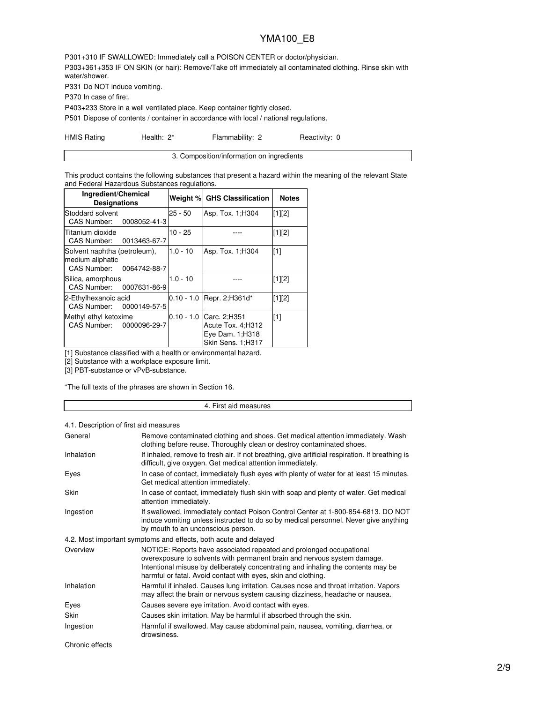P301+310 IF SWALLOWED: Immediately call a POISON CENTER or doctor/physician. P303+361+353 IF ON SKIN (or hair): Remove/Take off immediately all contaminated clothing. Rinse skin with water/shower.

P331 Do NOT induce vomiting.

P370 In case of fire:.

P403+233 Store in a well ventilated place. Keep container tightly closed.

P501 Dispose of contents / container in accordance with local / national regulations.

| <b>HMIS Rating</b> | Health: 2* | Flammability: 2 | Reactivity: 0 |
|--------------------|------------|-----------------|---------------|
|--------------------|------------|-----------------|---------------|

| 3. Composition/information on ingredients |
|-------------------------------------------|
|                                           |

This product contains the following substances that present a hazard within the meaning of the relevant State and Federal Hazardous Substances regulations.

| Ingredient/Chemical<br><b>Designations</b>                                   | Weight %     | <b>GHS Classification</b>                                                   | <b>Notes</b> |
|------------------------------------------------------------------------------|--------------|-----------------------------------------------------------------------------|--------------|
| Stoddard solvent<br>CAS Number: 0008052-41-3                                 | $25 - 50$    | Asp. Tox. 1; H304                                                           | $[1]$ [2]    |
| Titanium dioxide<br><b>CAS Number:</b><br>0013463-67-7                       | $10 - 25$    |                                                                             | [1][2]       |
| Solvent naphtha (petroleum),<br>medium aliphatic<br>CAS Number: 0064742-88-7 | $1.0 - 10$   | Asp. Tox. 1; H304                                                           | [1]          |
| Silica, amorphous<br>CAS Number: 0007631-86-9                                | $1.0 - 10$   |                                                                             | [1][2]       |
| 2-Ethylhexanoic acid<br>CAS Number: 0000149-57-5                             | $0.10 - 1.0$ | Repr. 2; H361d*                                                             | [1][2]       |
| Methyl ethyl ketoxime<br>CAS Number: 0000096-29-7                            | $0.10 - 1.0$ | Carc. 2;H351<br>Acute Tox. 4; H312<br>Eye Dam. 1; H318<br>Skin Sens. 1;H317 | [1]          |

[1] Substance classified with a health or environmental hazard.

[2] Substance with a workplace exposure limit.

[3] PBT-substance or vPvB-substance.

\*The full texts of the phrases are shown in Section 16.

#### 4. First aid measures

### 4.1. Description of first aid measures

| General           | Remove contaminated clothing and shoes. Get medical attention immediately. Wash<br>clothing before reuse. Thoroughly clean or destroy contaminated shoes.                                                                                                                                             |
|-------------------|-------------------------------------------------------------------------------------------------------------------------------------------------------------------------------------------------------------------------------------------------------------------------------------------------------|
| <b>Inhalation</b> | If inhaled, remove to fresh air. If not breathing, give artificial respiration. If breathing is<br>difficult, give oxygen. Get medical attention immediately.                                                                                                                                         |
| Eyes              | In case of contact, immediately flush eyes with plenty of water for at least 15 minutes.<br>Get medical attention immediately.                                                                                                                                                                        |
| Skin              | In case of contact, immediately flush skin with soap and plenty of water. Get medical<br>attention immediately.                                                                                                                                                                                       |
| Ingestion         | If swallowed, immediately contact Poison Control Center at 1-800-854-6813. DO NOT<br>induce vomiting unless instructed to do so by medical personnel. Never give anything<br>by mouth to an unconscious person.                                                                                       |
|                   | 4.2. Most important symptoms and effects, both acute and delayed                                                                                                                                                                                                                                      |
| Overview          | NOTICE: Reports have associated repeated and prolonged occupational<br>overexposure to solvents with permanent brain and nervous system damage.<br>Intentional misuse by deliberately concentrating and inhaling the contents may be<br>harmful or fatal. Avoid contact with eyes, skin and clothing. |
| Inhalation        | Harmful if inhaled. Causes lung irritation. Causes nose and throat irritation. Vapors<br>may affect the brain or nervous system causing dizziness, headache or nausea.                                                                                                                                |
| Eyes              | Causes severe eye irritation. Avoid contact with eyes.                                                                                                                                                                                                                                                |
| Skin              | Causes skin irritation. May be harmful if absorbed through the skin.                                                                                                                                                                                                                                  |
| Ingestion         | Harmful if swallowed. May cause abdominal pain, nausea, vomiting, diarrhea, or<br>drowsiness.                                                                                                                                                                                                         |
| Chronic effects   |                                                                                                                                                                                                                                                                                                       |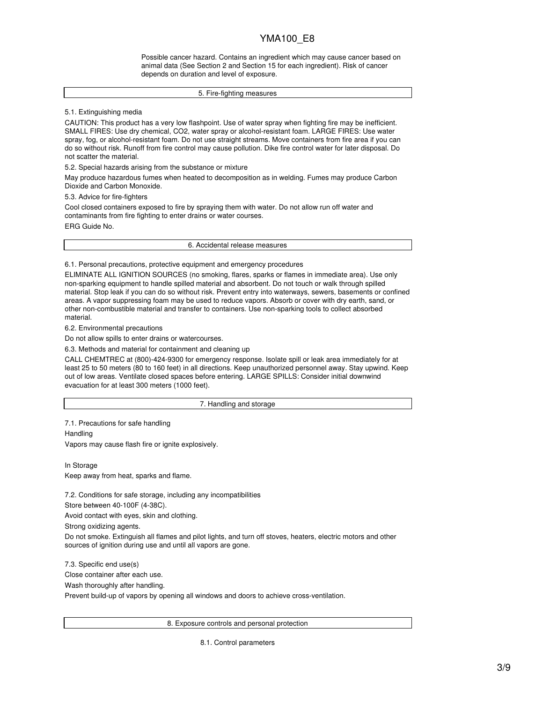Possible cancer hazard. Contains an ingredient which may cause cancer based on animal data (See Section 2 and Section 15 for each ingredient). Risk of cancer depends on duration and level of exposure.

#### 5. Fire-fighting measures

5.1. Extinguishing media

CAUTION: This product has a very low flashpoint. Use of water spray when fighting fire may be inefficient. SMALL FIRES: Use dry chemical, CO2, water spray or alcohol-resistant foam. LARGE FIRES: Use water spray, fog, or alcohol-resistant foam. Do not use straight streams. Move containers from fire area if you can do so without risk. Runoff from fire control may cause pollution. Dike fire control water for later disposal. Do not scatter the material.

5.2. Special hazards arising from the substance or mixture

May produce hazardous fumes when heated to decomposition as in welding. Fumes may produce Carbon Dioxide and Carbon Monoxide.

5.3. Advice for fire-fighters

Cool closed containers exposed to fire by spraying them with water. Do not allow run off water and contaminants from fire fighting to enter drains or water courses.

ERG Guide No.

6. Accidental release measures

6.1. Personal precautions, protective equipment and emergency procedures

ELIMINATE ALL IGNITION SOURCES (no smoking, flares, sparks or flames in immediate area). Use only non-sparking equipment to handle spilled material and absorbent. Do not touch or walk through spilled material. Stop leak if you can do so without risk. Prevent entry into waterways, sewers, basements or confined areas. A vapor suppressing foam may be used to reduce vapors. Absorb or cover with dry earth, sand, or other non-combustible material and transfer to containers. Use non-sparking tools to collect absorbed material.

6.2. Environmental precautions

Do not allow spills to enter drains or watercourses.

6.3. Methods and material for containment and cleaning up

CALL CHEMTREC at (800)-424-9300 for emergency response. Isolate spill or leak area immediately for at least 25 to 50 meters (80 to 160 feet) in all directions. Keep unauthorized personnel away. Stay upwind. Keep out of low areas. Ventilate closed spaces before entering. LARGE SPILLS: Consider initial downwind evacuation for at least 300 meters (1000 feet).

7. Handling and storage

7.1. Precautions for safe handling

**Handling** 

Vapors may cause flash fire or ignite explosively.

In Storage Keep away from heat, sparks and flame.

7.2. Conditions for safe storage, including any incompatibilities

Store between 40-100F (4-38C).

Avoid contact with eyes, skin and clothing.

Strong oxidizing agents.

Do not smoke. Extinguish all flames and pilot lights, and turn off stoves, heaters, electric motors and other sources of ignition during use and until all vapors are gone.

7.3. Specific end use(s) Close container after each use. Wash thoroughly after handling. Prevent build-up of vapors by opening all windows and doors to achieve cross-ventilation.

8. Exposure controls and personal protection

8.1. Control parameters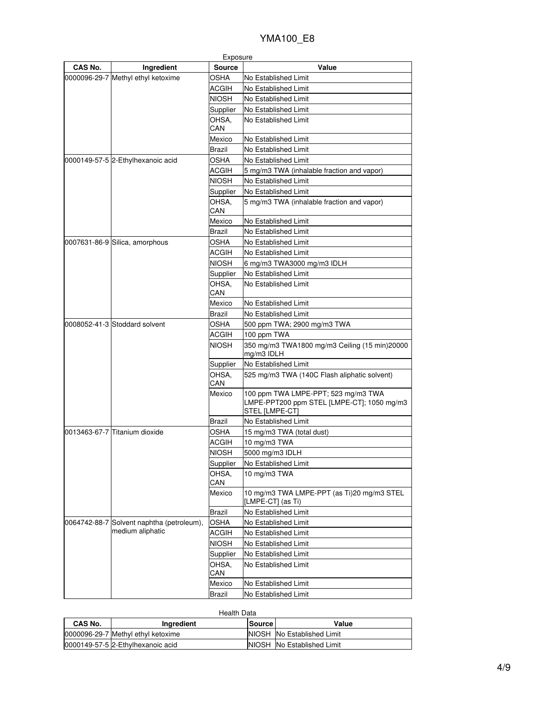| CAS No.<br><b>Source</b><br>Value<br>Ingredient<br>0000096-29-7 Methyl ethyl ketoxime<br>OSHA<br>No Established Limit<br>ACGIH<br>No Established Limit<br>NIOSH<br>No Established Limit<br>Supplier<br>No Established Limit<br>OHSA,<br>No Established Limit<br>CAN<br>Mexico<br>No Established Limit<br>Brazil<br>No Established Limit<br>0000149-57-5 2-Ethylhexanoic acid<br>OSHA<br>No Established Limit<br><b>ACGIH</b><br>5 mg/m3 TWA (inhalable fraction and vapor)<br><b>NIOSH</b><br>No Established Limit<br>No Established Limit<br>Supplier<br>OHSA.<br>5 mg/m3 TWA (inhalable fraction and vapor)<br>CAN<br>No Established Limit<br>Mexico<br>Brazil<br>No Established Limit<br>OSHA<br>0007631-86-9 Silica, amorphous<br>No Established Limit<br>ACGIH<br>No Established Limit<br><b>NIOSH</b><br>6 mg/m3 TWA3000 mg/m3 IDLH<br>Supplier<br>No Established Limit<br>OHSA,<br>No Established Limit<br>CAN<br>Mexico<br>No Established Limit<br><b>Brazil</b><br>No Established Limit<br>0008052-41-3 Stoddard solvent<br>OSHA<br>500 ppm TWA; 2900 mg/m3 TWA<br><b>ACGIH</b><br>100 ppm TWA<br><b>NIOSH</b><br>350 mg/m3 TWA1800 mg/m3 Ceiling (15 min)20000<br>mg/m3 IDLH<br>No Established Limit<br>Supplier<br>OHSA.<br>525 mg/m3 TWA (140C Flash aliphatic solvent)<br>CAN<br>Mexico<br>100 ppm TWA LMPE-PPT; 523 mg/m3 TWA<br>LMPE-PPT200 ppm STEL [LMPE-CT]; 1050 mg/m3<br>STEL [LMPE-CT]<br>Brazil<br>No Established Limit<br>0013463-67-7 Titanium dioxide<br>OSHA<br>15 mg/m3 TWA (total dust)<br>ACGIH<br>10 mg/m3 TWA<br><b>NIOSH</b><br>5000 mg/m3 IDLH<br>Supplier<br>No Established Limit<br>OHSA,<br>10 mg/m3 TWA<br>CAN<br>10 mg/m3 TWA LMPE-PPT (as Ti)20 mg/m3 STEL<br>Mexico<br>[LMPE-CT] (as Ti)<br><b>Brazil</b><br>No Established Limit<br>0064742-88-7 Solvent naphtha (petroleum),<br><b>OSHA</b><br>No Established Limit<br>medium aliphatic<br><b>ACGIH</b><br>No Established Limit<br><b>NIOSH</b><br>No Established Limit<br>Supplier<br>No Established Limit<br>OHSA,<br>No Established Limit<br>CAN<br>Mexico<br>No Established Limit<br>No Established Limit<br>Brazil |  | Exposure |  |
|-------------------------------------------------------------------------------------------------------------------------------------------------------------------------------------------------------------------------------------------------------------------------------------------------------------------------------------------------------------------------------------------------------------------------------------------------------------------------------------------------------------------------------------------------------------------------------------------------------------------------------------------------------------------------------------------------------------------------------------------------------------------------------------------------------------------------------------------------------------------------------------------------------------------------------------------------------------------------------------------------------------------------------------------------------------------------------------------------------------------------------------------------------------------------------------------------------------------------------------------------------------------------------------------------------------------------------------------------------------------------------------------------------------------------------------------------------------------------------------------------------------------------------------------------------------------------------------------------------------------------------------------------------------------------------------------------------------------------------------------------------------------------------------------------------------------------------------------------------------------------------------------------------------------------------------------------------------------------------------------------------------------------------------------------------------------------------------------------------------------|--|----------|--|
|                                                                                                                                                                                                                                                                                                                                                                                                                                                                                                                                                                                                                                                                                                                                                                                                                                                                                                                                                                                                                                                                                                                                                                                                                                                                                                                                                                                                                                                                                                                                                                                                                                                                                                                                                                                                                                                                                                                                                                                                                                                                                                                   |  |          |  |
|                                                                                                                                                                                                                                                                                                                                                                                                                                                                                                                                                                                                                                                                                                                                                                                                                                                                                                                                                                                                                                                                                                                                                                                                                                                                                                                                                                                                                                                                                                                                                                                                                                                                                                                                                                                                                                                                                                                                                                                                                                                                                                                   |  |          |  |
|                                                                                                                                                                                                                                                                                                                                                                                                                                                                                                                                                                                                                                                                                                                                                                                                                                                                                                                                                                                                                                                                                                                                                                                                                                                                                                                                                                                                                                                                                                                                                                                                                                                                                                                                                                                                                                                                                                                                                                                                                                                                                                                   |  |          |  |
|                                                                                                                                                                                                                                                                                                                                                                                                                                                                                                                                                                                                                                                                                                                                                                                                                                                                                                                                                                                                                                                                                                                                                                                                                                                                                                                                                                                                                                                                                                                                                                                                                                                                                                                                                                                                                                                                                                                                                                                                                                                                                                                   |  |          |  |
|                                                                                                                                                                                                                                                                                                                                                                                                                                                                                                                                                                                                                                                                                                                                                                                                                                                                                                                                                                                                                                                                                                                                                                                                                                                                                                                                                                                                                                                                                                                                                                                                                                                                                                                                                                                                                                                                                                                                                                                                                                                                                                                   |  |          |  |
|                                                                                                                                                                                                                                                                                                                                                                                                                                                                                                                                                                                                                                                                                                                                                                                                                                                                                                                                                                                                                                                                                                                                                                                                                                                                                                                                                                                                                                                                                                                                                                                                                                                                                                                                                                                                                                                                                                                                                                                                                                                                                                                   |  |          |  |
|                                                                                                                                                                                                                                                                                                                                                                                                                                                                                                                                                                                                                                                                                                                                                                                                                                                                                                                                                                                                                                                                                                                                                                                                                                                                                                                                                                                                                                                                                                                                                                                                                                                                                                                                                                                                                                                                                                                                                                                                                                                                                                                   |  |          |  |
|                                                                                                                                                                                                                                                                                                                                                                                                                                                                                                                                                                                                                                                                                                                                                                                                                                                                                                                                                                                                                                                                                                                                                                                                                                                                                                                                                                                                                                                                                                                                                                                                                                                                                                                                                                                                                                                                                                                                                                                                                                                                                                                   |  |          |  |
|                                                                                                                                                                                                                                                                                                                                                                                                                                                                                                                                                                                                                                                                                                                                                                                                                                                                                                                                                                                                                                                                                                                                                                                                                                                                                                                                                                                                                                                                                                                                                                                                                                                                                                                                                                                                                                                                                                                                                                                                                                                                                                                   |  |          |  |
|                                                                                                                                                                                                                                                                                                                                                                                                                                                                                                                                                                                                                                                                                                                                                                                                                                                                                                                                                                                                                                                                                                                                                                                                                                                                                                                                                                                                                                                                                                                                                                                                                                                                                                                                                                                                                                                                                                                                                                                                                                                                                                                   |  |          |  |
|                                                                                                                                                                                                                                                                                                                                                                                                                                                                                                                                                                                                                                                                                                                                                                                                                                                                                                                                                                                                                                                                                                                                                                                                                                                                                                                                                                                                                                                                                                                                                                                                                                                                                                                                                                                                                                                                                                                                                                                                                                                                                                                   |  |          |  |
|                                                                                                                                                                                                                                                                                                                                                                                                                                                                                                                                                                                                                                                                                                                                                                                                                                                                                                                                                                                                                                                                                                                                                                                                                                                                                                                                                                                                                                                                                                                                                                                                                                                                                                                                                                                                                                                                                                                                                                                                                                                                                                                   |  |          |  |
|                                                                                                                                                                                                                                                                                                                                                                                                                                                                                                                                                                                                                                                                                                                                                                                                                                                                                                                                                                                                                                                                                                                                                                                                                                                                                                                                                                                                                                                                                                                                                                                                                                                                                                                                                                                                                                                                                                                                                                                                                                                                                                                   |  |          |  |
|                                                                                                                                                                                                                                                                                                                                                                                                                                                                                                                                                                                                                                                                                                                                                                                                                                                                                                                                                                                                                                                                                                                                                                                                                                                                                                                                                                                                                                                                                                                                                                                                                                                                                                                                                                                                                                                                                                                                                                                                                                                                                                                   |  |          |  |
|                                                                                                                                                                                                                                                                                                                                                                                                                                                                                                                                                                                                                                                                                                                                                                                                                                                                                                                                                                                                                                                                                                                                                                                                                                                                                                                                                                                                                                                                                                                                                                                                                                                                                                                                                                                                                                                                                                                                                                                                                                                                                                                   |  |          |  |
|                                                                                                                                                                                                                                                                                                                                                                                                                                                                                                                                                                                                                                                                                                                                                                                                                                                                                                                                                                                                                                                                                                                                                                                                                                                                                                                                                                                                                                                                                                                                                                                                                                                                                                                                                                                                                                                                                                                                                                                                                                                                                                                   |  |          |  |
|                                                                                                                                                                                                                                                                                                                                                                                                                                                                                                                                                                                                                                                                                                                                                                                                                                                                                                                                                                                                                                                                                                                                                                                                                                                                                                                                                                                                                                                                                                                                                                                                                                                                                                                                                                                                                                                                                                                                                                                                                                                                                                                   |  |          |  |
|                                                                                                                                                                                                                                                                                                                                                                                                                                                                                                                                                                                                                                                                                                                                                                                                                                                                                                                                                                                                                                                                                                                                                                                                                                                                                                                                                                                                                                                                                                                                                                                                                                                                                                                                                                                                                                                                                                                                                                                                                                                                                                                   |  |          |  |
|                                                                                                                                                                                                                                                                                                                                                                                                                                                                                                                                                                                                                                                                                                                                                                                                                                                                                                                                                                                                                                                                                                                                                                                                                                                                                                                                                                                                                                                                                                                                                                                                                                                                                                                                                                                                                                                                                                                                                                                                                                                                                                                   |  |          |  |
|                                                                                                                                                                                                                                                                                                                                                                                                                                                                                                                                                                                                                                                                                                                                                                                                                                                                                                                                                                                                                                                                                                                                                                                                                                                                                                                                                                                                                                                                                                                                                                                                                                                                                                                                                                                                                                                                                                                                                                                                                                                                                                                   |  |          |  |
|                                                                                                                                                                                                                                                                                                                                                                                                                                                                                                                                                                                                                                                                                                                                                                                                                                                                                                                                                                                                                                                                                                                                                                                                                                                                                                                                                                                                                                                                                                                                                                                                                                                                                                                                                                                                                                                                                                                                                                                                                                                                                                                   |  |          |  |
|                                                                                                                                                                                                                                                                                                                                                                                                                                                                                                                                                                                                                                                                                                                                                                                                                                                                                                                                                                                                                                                                                                                                                                                                                                                                                                                                                                                                                                                                                                                                                                                                                                                                                                                                                                                                                                                                                                                                                                                                                                                                                                                   |  |          |  |
|                                                                                                                                                                                                                                                                                                                                                                                                                                                                                                                                                                                                                                                                                                                                                                                                                                                                                                                                                                                                                                                                                                                                                                                                                                                                                                                                                                                                                                                                                                                                                                                                                                                                                                                                                                                                                                                                                                                                                                                                                                                                                                                   |  |          |  |
|                                                                                                                                                                                                                                                                                                                                                                                                                                                                                                                                                                                                                                                                                                                                                                                                                                                                                                                                                                                                                                                                                                                                                                                                                                                                                                                                                                                                                                                                                                                                                                                                                                                                                                                                                                                                                                                                                                                                                                                                                                                                                                                   |  |          |  |
|                                                                                                                                                                                                                                                                                                                                                                                                                                                                                                                                                                                                                                                                                                                                                                                                                                                                                                                                                                                                                                                                                                                                                                                                                                                                                                                                                                                                                                                                                                                                                                                                                                                                                                                                                                                                                                                                                                                                                                                                                                                                                                                   |  |          |  |
|                                                                                                                                                                                                                                                                                                                                                                                                                                                                                                                                                                                                                                                                                                                                                                                                                                                                                                                                                                                                                                                                                                                                                                                                                                                                                                                                                                                                                                                                                                                                                                                                                                                                                                                                                                                                                                                                                                                                                                                                                                                                                                                   |  |          |  |
|                                                                                                                                                                                                                                                                                                                                                                                                                                                                                                                                                                                                                                                                                                                                                                                                                                                                                                                                                                                                                                                                                                                                                                                                                                                                                                                                                                                                                                                                                                                                                                                                                                                                                                                                                                                                                                                                                                                                                                                                                                                                                                                   |  |          |  |
|                                                                                                                                                                                                                                                                                                                                                                                                                                                                                                                                                                                                                                                                                                                                                                                                                                                                                                                                                                                                                                                                                                                                                                                                                                                                                                                                                                                                                                                                                                                                                                                                                                                                                                                                                                                                                                                                                                                                                                                                                                                                                                                   |  |          |  |
|                                                                                                                                                                                                                                                                                                                                                                                                                                                                                                                                                                                                                                                                                                                                                                                                                                                                                                                                                                                                                                                                                                                                                                                                                                                                                                                                                                                                                                                                                                                                                                                                                                                                                                                                                                                                                                                                                                                                                                                                                                                                                                                   |  |          |  |
|                                                                                                                                                                                                                                                                                                                                                                                                                                                                                                                                                                                                                                                                                                                                                                                                                                                                                                                                                                                                                                                                                                                                                                                                                                                                                                                                                                                                                                                                                                                                                                                                                                                                                                                                                                                                                                                                                                                                                                                                                                                                                                                   |  |          |  |
|                                                                                                                                                                                                                                                                                                                                                                                                                                                                                                                                                                                                                                                                                                                                                                                                                                                                                                                                                                                                                                                                                                                                                                                                                                                                                                                                                                                                                                                                                                                                                                                                                                                                                                                                                                                                                                                                                                                                                                                                                                                                                                                   |  |          |  |
|                                                                                                                                                                                                                                                                                                                                                                                                                                                                                                                                                                                                                                                                                                                                                                                                                                                                                                                                                                                                                                                                                                                                                                                                                                                                                                                                                                                                                                                                                                                                                                                                                                                                                                                                                                                                                                                                                                                                                                                                                                                                                                                   |  |          |  |
|                                                                                                                                                                                                                                                                                                                                                                                                                                                                                                                                                                                                                                                                                                                                                                                                                                                                                                                                                                                                                                                                                                                                                                                                                                                                                                                                                                                                                                                                                                                                                                                                                                                                                                                                                                                                                                                                                                                                                                                                                                                                                                                   |  |          |  |
|                                                                                                                                                                                                                                                                                                                                                                                                                                                                                                                                                                                                                                                                                                                                                                                                                                                                                                                                                                                                                                                                                                                                                                                                                                                                                                                                                                                                                                                                                                                                                                                                                                                                                                                                                                                                                                                                                                                                                                                                                                                                                                                   |  |          |  |
|                                                                                                                                                                                                                                                                                                                                                                                                                                                                                                                                                                                                                                                                                                                                                                                                                                                                                                                                                                                                                                                                                                                                                                                                                                                                                                                                                                                                                                                                                                                                                                                                                                                                                                                                                                                                                                                                                                                                                                                                                                                                                                                   |  |          |  |
|                                                                                                                                                                                                                                                                                                                                                                                                                                                                                                                                                                                                                                                                                                                                                                                                                                                                                                                                                                                                                                                                                                                                                                                                                                                                                                                                                                                                                                                                                                                                                                                                                                                                                                                                                                                                                                                                                                                                                                                                                                                                                                                   |  |          |  |
|                                                                                                                                                                                                                                                                                                                                                                                                                                                                                                                                                                                                                                                                                                                                                                                                                                                                                                                                                                                                                                                                                                                                                                                                                                                                                                                                                                                                                                                                                                                                                                                                                                                                                                                                                                                                                                                                                                                                                                                                                                                                                                                   |  |          |  |
|                                                                                                                                                                                                                                                                                                                                                                                                                                                                                                                                                                                                                                                                                                                                                                                                                                                                                                                                                                                                                                                                                                                                                                                                                                                                                                                                                                                                                                                                                                                                                                                                                                                                                                                                                                                                                                                                                                                                                                                                                                                                                                                   |  |          |  |
|                                                                                                                                                                                                                                                                                                                                                                                                                                                                                                                                                                                                                                                                                                                                                                                                                                                                                                                                                                                                                                                                                                                                                                                                                                                                                                                                                                                                                                                                                                                                                                                                                                                                                                                                                                                                                                                                                                                                                                                                                                                                                                                   |  |          |  |
|                                                                                                                                                                                                                                                                                                                                                                                                                                                                                                                                                                                                                                                                                                                                                                                                                                                                                                                                                                                                                                                                                                                                                                                                                                                                                                                                                                                                                                                                                                                                                                                                                                                                                                                                                                                                                                                                                                                                                                                                                                                                                                                   |  |          |  |
|                                                                                                                                                                                                                                                                                                                                                                                                                                                                                                                                                                                                                                                                                                                                                                                                                                                                                                                                                                                                                                                                                                                                                                                                                                                                                                                                                                                                                                                                                                                                                                                                                                                                                                                                                                                                                                                                                                                                                                                                                                                                                                                   |  |          |  |
|                                                                                                                                                                                                                                                                                                                                                                                                                                                                                                                                                                                                                                                                                                                                                                                                                                                                                                                                                                                                                                                                                                                                                                                                                                                                                                                                                                                                                                                                                                                                                                                                                                                                                                                                                                                                                                                                                                                                                                                                                                                                                                                   |  |          |  |
|                                                                                                                                                                                                                                                                                                                                                                                                                                                                                                                                                                                                                                                                                                                                                                                                                                                                                                                                                                                                                                                                                                                                                                                                                                                                                                                                                                                                                                                                                                                                                                                                                                                                                                                                                                                                                                                                                                                                                                                                                                                                                                                   |  |          |  |

| Health Data                                     |                                    |  |                            |  |  |
|-------------------------------------------------|------------------------------------|--|----------------------------|--|--|
| CAS No.<br>Value<br>Ingredient<br><b>Source</b> |                                    |  |                            |  |  |
|                                                 | 0000096-29-7 Methyl ethyl ketoxime |  | NIOSH No Established Limit |  |  |
|                                                 | 0000149-57-5 2-Ethylhexanoic acid  |  | NIOSH No Established Limit |  |  |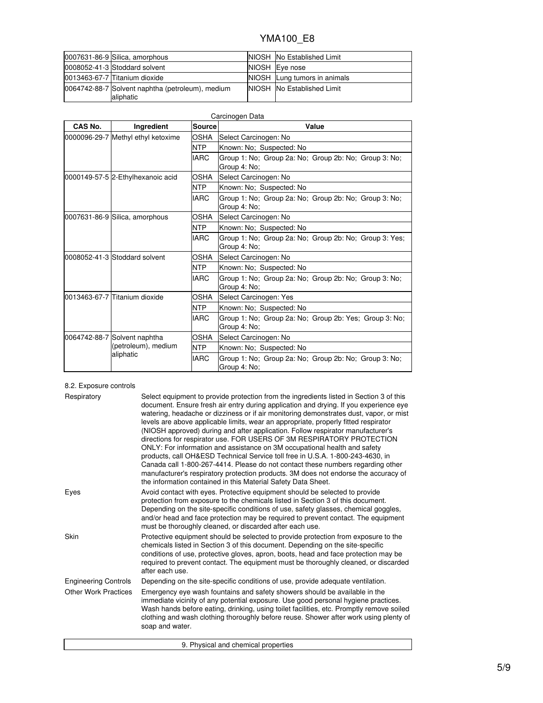| 0007631-86-9 Silica, amorphous                                | NIOSH No Established Limit        |
|---------------------------------------------------------------|-----------------------------------|
| 0008052-41-3 Stoddard solvent                                 | NIOSH Eye nose                    |
| 0013463-67-7 Titanium dioxide                                 | NIOSH Lung tumors in animals      |
| 0064742-88-7 Solvent naphtha (petroleum), medium<br>aliphatic | <b>NIOSH No Established Limit</b> |

| CAS No. | Carcinogen Data                    |               |                                                                        |  |  |  |
|---------|------------------------------------|---------------|------------------------------------------------------------------------|--|--|--|
|         | Ingredient                         | <b>Source</b> | Value                                                                  |  |  |  |
|         | 0000096-29-7 Methyl ethyl ketoxime | OSHA          | Select Carcinogen: No                                                  |  |  |  |
|         |                                    | <b>NTP</b>    | Known: No: Suspected: No                                               |  |  |  |
|         |                                    | <b>IARC</b>   | Group 1: No; Group 2a: No; Group 2b: No; Group 3: No;<br>Group 4: No;  |  |  |  |
|         | 0000149-57-5 2-Ethylhexanoic acid  | OSHA          | Select Carcinogen: No                                                  |  |  |  |
|         |                                    | <b>NTP</b>    | Known: No; Suspected: No                                               |  |  |  |
|         |                                    | <b>IARC</b>   | Group 1: No; Group 2a: No; Group 2b: No; Group 3: No;<br>Group 4: No;  |  |  |  |
|         | 0007631-86-9 Silica, amorphous     | OSHA          | Select Carcinogen: No                                                  |  |  |  |
|         |                                    | NTP           | Known: No; Suspected: No                                               |  |  |  |
|         |                                    | <b>IARC</b>   | Group 1: No; Group 2a: No; Group 2b: No; Group 3: Yes;<br>Group 4: No; |  |  |  |
|         | 0008052-41-3 Stoddard solvent      | OSHA          | Select Carcinogen: No                                                  |  |  |  |
|         |                                    | <b>NTP</b>    | Known: No; Suspected: No                                               |  |  |  |
|         |                                    | <b>IARC</b>   | Group 1: No; Group 2a: No; Group 2b: No; Group 3: No;<br>Group 4: No:  |  |  |  |
|         | 0013463-67-7 Titanium dioxide      | OSHA          | Select Carcinogen: Yes                                                 |  |  |  |
|         |                                    | NTP           | Known: No; Suspected: No                                               |  |  |  |
|         |                                    | <b>IARC</b>   | Group 1: No; Group 2a: No; Group 2b: Yes; Group 3: No;<br>Group 4: No; |  |  |  |
|         | 0064742-88-7 Solvent naphtha       | OSHA          | Select Carcinogen: No                                                  |  |  |  |
|         | (petroleum), medium                | <b>NTP</b>    | Known: No; Suspected: No                                               |  |  |  |
|         | aliphatic                          | <b>IARC</b>   | Group 1: No; Group 2a: No; Group 2b: No; Group 3: No;<br>Group 4: No:  |  |  |  |

### 8.2. Exposure controls

| Respiratory                 | Select equipment to provide protection from the ingredients listed in Section 3 of this<br>document. Ensure fresh air entry during application and drying. If you experience eye<br>watering, headache or dizziness or if air monitoring demonstrates dust, vapor, or mist<br>levels are above applicable limits, wear an appropriate, properly fitted respirator<br>(NIOSH approved) during and after application. Follow respirator manufacturer's<br>directions for respirator use. FOR USERS OF 3M RESPIRATORY PROTECTION<br>ONLY: For information and assistance on 3M occupational health and safety<br>products, call OH&ESD Technical Service toll free in U.S.A. 1-800-243-4630, in<br>Canada call 1-800-267-4414. Please do not contact these numbers regarding other<br>manufacturer's respiratory protection products. 3M does not endorse the accuracy of<br>the information contained in this Material Safety Data Sheet. |
|-----------------------------|-----------------------------------------------------------------------------------------------------------------------------------------------------------------------------------------------------------------------------------------------------------------------------------------------------------------------------------------------------------------------------------------------------------------------------------------------------------------------------------------------------------------------------------------------------------------------------------------------------------------------------------------------------------------------------------------------------------------------------------------------------------------------------------------------------------------------------------------------------------------------------------------------------------------------------------------|
| Eyes                        | Avoid contact with eyes. Protective equipment should be selected to provide<br>protection from exposure to the chemicals listed in Section 3 of this document.<br>Depending on the site-specific conditions of use, safety glasses, chemical goggles,<br>and/or head and face protection may be required to prevent contact. The equipment<br>must be thoroughly cleaned, or discarded after each use.                                                                                                                                                                                                                                                                                                                                                                                                                                                                                                                                  |
| Skin                        | Protective equipment should be selected to provide protection from exposure to the<br>chemicals listed in Section 3 of this document. Depending on the site-specific<br>conditions of use, protective gloves, apron, boots, head and face protection may be<br>required to prevent contact. The equipment must be thoroughly cleaned, or discarded<br>after each use.                                                                                                                                                                                                                                                                                                                                                                                                                                                                                                                                                                   |
| <b>Engineering Controls</b> | Depending on the site-specific conditions of use, provide adequate ventilation.                                                                                                                                                                                                                                                                                                                                                                                                                                                                                                                                                                                                                                                                                                                                                                                                                                                         |
| <b>Other Work Practices</b> | Emergency eye wash fountains and safety showers should be available in the<br>immediate vicinity of any potential exposure. Use good personal hygiene practices.<br>Wash hands before eating, drinking, using toilet facilities, etc. Promptly remove soiled<br>clothing and wash clothing thoroughly before reuse. Shower after work using plenty of<br>soap and water.                                                                                                                                                                                                                                                                                                                                                                                                                                                                                                                                                                |
|                             | 9. Physical and chemical properties                                                                                                                                                                                                                                                                                                                                                                                                                                                                                                                                                                                                                                                                                                                                                                                                                                                                                                     |

9. Physical and chemical properties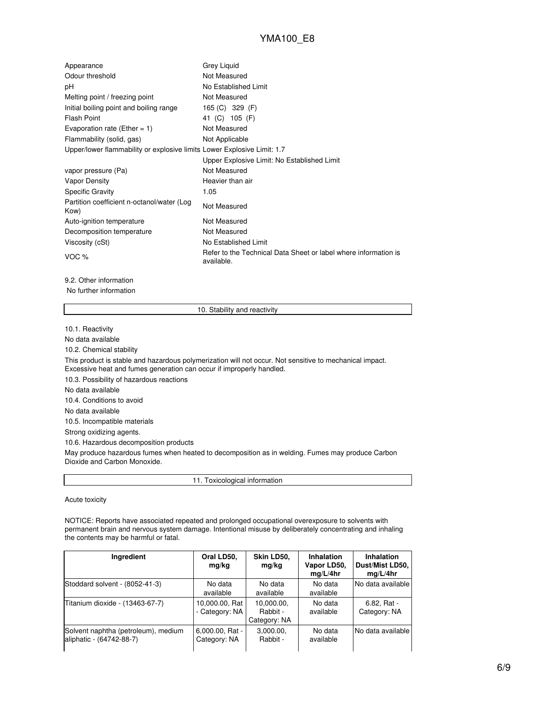| Appearance                                                              | Grey Liquid                                                                   |
|-------------------------------------------------------------------------|-------------------------------------------------------------------------------|
| Odour threshold                                                         | Not Measured                                                                  |
| рH                                                                      | No Established Limit                                                          |
| Melting point / freezing point                                          | Not Measured                                                                  |
| Initial boiling point and boiling range                                 | 165 (C) 329 (F)                                                               |
| <b>Flash Point</b>                                                      | 41 (C) 105 (F)                                                                |
| Evaporation rate (Ether = 1)                                            | Not Measured                                                                  |
| Flammability (solid, gas)                                               | Not Applicable                                                                |
| Upper/lower flammability or explosive limits Lower Explosive Limit: 1.7 |                                                                               |
|                                                                         | Upper Explosive Limit: No Established Limit                                   |
| vapor pressure (Pa)                                                     | Not Measured                                                                  |
| Vapor Density                                                           | Heavier than air                                                              |
| <b>Specific Gravity</b>                                                 | 1.05                                                                          |
| Partition coefficient n-octanol/water (Log<br>Kow)                      | Not Measured                                                                  |
| Auto-ignition temperature                                               | Not Measured                                                                  |
| Decomposition temperature                                               | Not Measured                                                                  |
| Viscosity (cSt)                                                         | No Established Limit                                                          |
| VOC %                                                                   | Refer to the Technical Data Sheet or label where information is<br>available. |

9.2. Other information

No further information

10. Stability and reactivity

10.1. Reactivity

No data available 10.2. Chemical stability This product is stable and hazardous polymerization will not occur. Not sensitive to mechanical impact. Excessive heat and fumes generation can occur if improperly handled. 10.3. Possibility of hazardous reactions No data available 10.4. Conditions to avoid No data available 10.5. Incompatible materials Strong oxidizing agents. 10.6. Hazardous decomposition products May produce hazardous fumes when heated to decomposition as in welding. Fumes may produce Carbon Dioxide and Carbon Monoxide.

11. Toxicological information

Acute toxicity

NOTICE: Reports have associated repeated and prolonged occupational overexposure to solvents with permanent brain and nervous system damage. Intentional misuse by deliberately concentrating and inhaling the contents may be harmful or fatal.

| Ingredient                                                      | Oral LD50,<br>mg/kg                | Skin LD50,<br>mg/kg                    | <b>Inhalation</b><br>Vapor LD50,<br>mq/L/4hr | Inhalation<br>Dust/Mist LD50,<br>mq/L/4hr |
|-----------------------------------------------------------------|------------------------------------|----------------------------------------|----------------------------------------------|-------------------------------------------|
| Stoddard solvent - (8052-41-3)                                  | No data<br>available               | No data<br>available                   | No data<br>available                         | No data available                         |
| Titanium dioxide - (13463-67-7)                                 | 10,000.00, Rat<br>- Category: NA   | 10,000.00,<br>Rabbit -<br>Category: NA | No data<br>available                         | 6.82. Rat -<br>Category: NA               |
| Solvent naphtha (petroleum), medium<br>aliphatic - (64742-88-7) | $6,000.00$ , Rat -<br>Category: NA | 3,000.00,<br>Rabbit -                  | No data<br>available                         | No data available                         |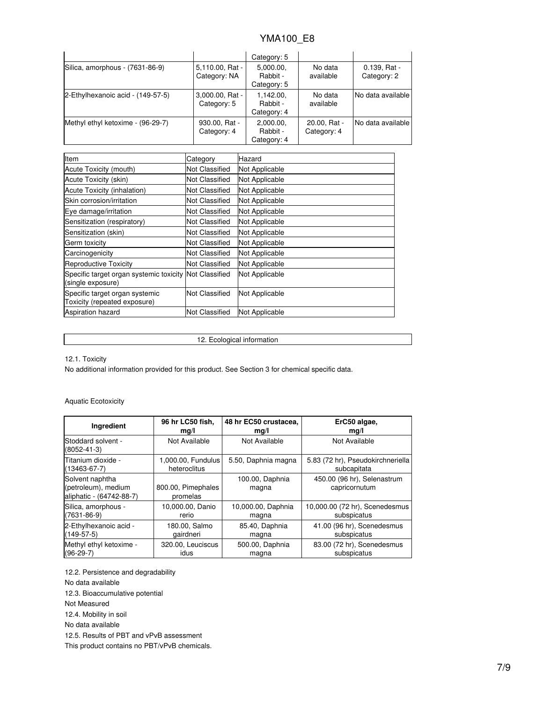|                                   |                                 | Category: 5                          |                             |                               |
|-----------------------------------|---------------------------------|--------------------------------------|-----------------------------|-------------------------------|
| Silica, amorphous - (7631-86-9)   | 5,110.00, Rat -<br>Category: NA |                                      | No data<br>available        | $0.139.$ Rat -<br>Category: 2 |
| 2-Ethylhexanoic acid - (149-57-5) | 3,000.00, Rat -<br>Category: 5  | 1,142.00,<br>Rabbit -<br>Category: 4 | No data<br>available        | No data available             |
| Methyl ethyl ketoxime - (96-29-7) | 930.00, Rat -<br>Category: 4    | 2,000.00,<br>Rabbit -<br>Category: 4 | 20.00, Rat -<br>Category: 4 | No data available             |

| Item                                                                        | Category              | Hazard         |
|-----------------------------------------------------------------------------|-----------------------|----------------|
| Acute Toxicity (mouth)                                                      | <b>Not Classified</b> | Not Applicable |
| Acute Toxicity (skin)                                                       | <b>Not Classified</b> | Not Applicable |
| Acute Toxicity (inhalation)                                                 | <b>Not Classified</b> | Not Applicable |
| Skin corrosion/irritation                                                   | <b>Not Classified</b> | Not Applicable |
| Eye damage/irritation                                                       | Not Classified        | Not Applicable |
| Sensitization (respiratory)                                                 | <b>Not Classified</b> | Not Applicable |
| Sensitization (skin)                                                        | <b>Not Classified</b> | Not Applicable |
| Germ toxicity                                                               | <b>Not Classified</b> | Not Applicable |
| Carcinogenicity                                                             | <b>Not Classified</b> | Not Applicable |
| <b>Reproductive Toxicity</b>                                                | <b>Not Classified</b> | Not Applicable |
| Specific target organ systemic toxicity Not Classified<br>(single exposure) |                       | Not Applicable |
| Specific target organ systemic<br>Toxicity (repeated exposure)              | Not Classified        | Not Applicable |
| <b>Aspiration hazard</b>                                                    | <b>Not Classified</b> | Not Applicable |

12. Ecological information

12.1. Toxicity

No additional information provided for this product. See Section 3 for chemical specific data.

### Aquatic Ecotoxicity

| Ingredient                                                         | 96 hr LC50 fish,               | 48 hr EC50 crustacea,    | ErC50 algae,                                 |
|--------------------------------------------------------------------|--------------------------------|--------------------------|----------------------------------------------|
|                                                                    | mq/l                           | mg/l                     | mg/l                                         |
| Stoddard solvent -<br>$(8052 - 41 - 3)$                            | Not Available                  | Not Available            | Not Available                                |
| Titanium dioxide -                                                 | 1,000.00, Fundulus             | 5.50, Daphnia magna      | 5.83 (72 hr), Pseudokirchneriella            |
| $(13463 - 67 - 7)$                                                 | heteroclitus                   |                          | subcapitata                                  |
| Solvent naphtha<br>(petroleum), medium<br>aliphatic - (64742-88-7) | 800.00, Pimephales<br>promelas | 100.00, Daphnia<br>magna | 450.00 (96 hr), Selenastrum<br>capricornutum |
| Silica, amorphous -                                                | 10,000.00, Danio               | 10,000.00, Daphnia       | 10,000.00 (72 hr), Scenedesmus               |
| $(7631 - 86 - 9)$                                                  | rerio                          | magna                    | subspicatus                                  |
| 2-Ethylhexanoic acid -                                             | 180.00, Salmo                  | 85.40, Daphnia           | 41.00 (96 hr), Scenedesmus                   |
| $(149-57-5)$                                                       | gairdneri                      | magna                    | subspicatus                                  |
| Methyl ethyl ketoxime -                                            | 320.00, Leuciscus              | 500.00, Daphnia          | 83.00 (72 hr), Scenedesmus                   |
| $(96-29-7)$                                                        | idus                           | magna                    | subspicatus                                  |

12.2. Persistence and degradability

No data available

12.3. Bioaccumulative potential

Not Measured

12.4. Mobility in soil

No data available

12.5. Results of PBT and vPvB assessment

This product contains no PBT/vPvB chemicals.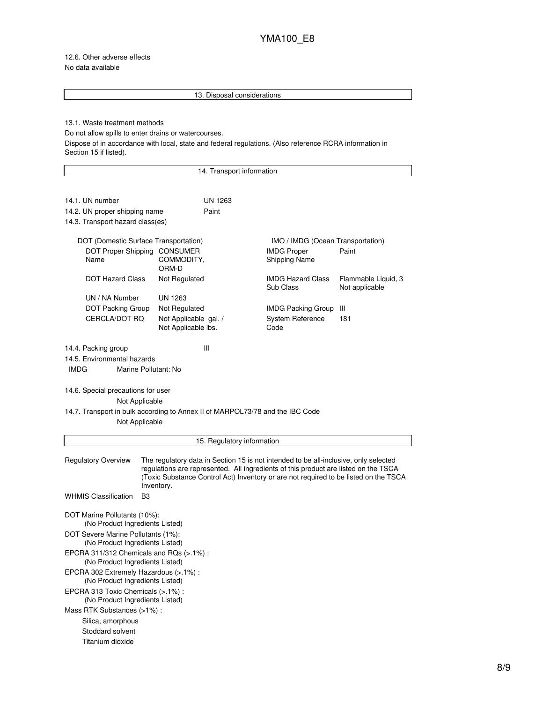12.6. Other adverse effects No data available

### 13. Disposal considerations

### 13.1. Waste treatment methods

Do not allow spills to enter drains or watercourses.

Dispose of in accordance with local, state and federal regulations. (Also reference RCRA information in Section 15 if listed).

| 14. Transport information                                                                                                                               |                                              |                            |                                                                                                                                                                                                                                                                     |                                       |  |
|---------------------------------------------------------------------------------------------------------------------------------------------------------|----------------------------------------------|----------------------------|---------------------------------------------------------------------------------------------------------------------------------------------------------------------------------------------------------------------------------------------------------------------|---------------------------------------|--|
|                                                                                                                                                         |                                              |                            |                                                                                                                                                                                                                                                                     |                                       |  |
| 14.1. UN number                                                                                                                                         |                                              | UN 1263                    |                                                                                                                                                                                                                                                                     |                                       |  |
| 14.2. UN proper shipping name                                                                                                                           |                                              | Paint                      |                                                                                                                                                                                                                                                                     |                                       |  |
| 14.3. Transport hazard class(es)                                                                                                                        |                                              |                            |                                                                                                                                                                                                                                                                     |                                       |  |
| DOT (Domestic Surface Transportation)                                                                                                                   |                                              |                            | IMO / IMDG (Ocean Transportation)                                                                                                                                                                                                                                   |                                       |  |
| DOT Proper Shipping CONSUMER<br>Name                                                                                                                    | COMMODITY,<br>ORM-D                          |                            | <b>IMDG Proper</b><br><b>Shipping Name</b>                                                                                                                                                                                                                          | Paint                                 |  |
| <b>DOT Hazard Class</b>                                                                                                                                 | Not Regulated                                |                            | <b>IMDG Hazard Class</b><br>Sub Class                                                                                                                                                                                                                               | Flammable Liquid, 3<br>Not applicable |  |
| UN / NA Number                                                                                                                                          | UN 1263                                      |                            |                                                                                                                                                                                                                                                                     |                                       |  |
| <b>DOT Packing Group</b>                                                                                                                                | Not Regulated                                |                            | <b>IMDG Packing Group</b>                                                                                                                                                                                                                                           | Ш                                     |  |
| CERCLA/DOT RQ                                                                                                                                           | Not Applicable gal. /<br>Not Applicable lbs. |                            | <b>System Reference</b><br>Code                                                                                                                                                                                                                                     | 181                                   |  |
| 14.4. Packing group<br>14.5. Environmental hazards<br><b>IMDG</b><br>Marine Pollutant: No                                                               | Ш                                            |                            |                                                                                                                                                                                                                                                                     |                                       |  |
| 14.6. Special precautions for user<br>Not Applicable<br>14.7. Transport in bulk according to Annex II of MARPOL73/78 and the IBC Code<br>Not Applicable |                                              |                            |                                                                                                                                                                                                                                                                     |                                       |  |
|                                                                                                                                                         |                                              | 15. Regulatory information |                                                                                                                                                                                                                                                                     |                                       |  |
| <b>Regulatory Overview</b>                                                                                                                              | Inventory.                                   |                            | The regulatory data in Section 15 is not intended to be all-inclusive, only selected<br>regulations are represented. All ingredients of this product are listed on the TSCA<br>(Toxic Substance Control Act) Inventory or are not required to be listed on the TSCA |                                       |  |
| <b>WHMIS Classification</b><br>B <sub>3</sub>                                                                                                           |                                              |                            |                                                                                                                                                                                                                                                                     |                                       |  |
| DOT Marine Pollutants (10%):<br>(No Product Ingredients Listed)                                                                                         |                                              |                            |                                                                                                                                                                                                                                                                     |                                       |  |
| DOT Severe Marine Pollutants (1%):<br>(No Product Ingredients Listed)                                                                                   |                                              |                            |                                                                                                                                                                                                                                                                     |                                       |  |
| EPCRA 311/312 Chemicals and RQs (>.1%):<br>(No Product Ingredients Listed)                                                                              |                                              |                            |                                                                                                                                                                                                                                                                     |                                       |  |
| EPCRA 302 Extremely Hazardous (>.1%) :<br>(No Product Ingredients Listed)                                                                               |                                              |                            |                                                                                                                                                                                                                                                                     |                                       |  |
| EPCRA 313 Toxic Chemicals (>.1%) :<br>(No Product Ingredients Listed)                                                                                   |                                              |                            |                                                                                                                                                                                                                                                                     |                                       |  |
| Mass RTK Substances (>1%):                                                                                                                              |                                              |                            |                                                                                                                                                                                                                                                                     |                                       |  |
| Silica, amorphous                                                                                                                                       |                                              |                            |                                                                                                                                                                                                                                                                     |                                       |  |
| Stoddard solvent                                                                                                                                        |                                              |                            |                                                                                                                                                                                                                                                                     |                                       |  |
| Titanium dioxide                                                                                                                                        |                                              |                            |                                                                                                                                                                                                                                                                     |                                       |  |